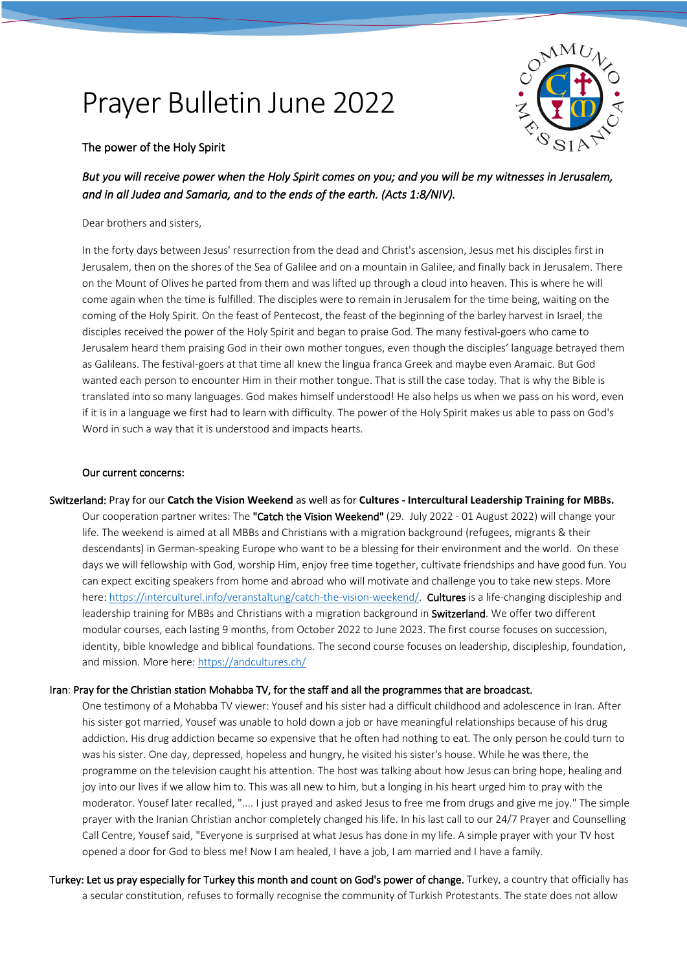## Prayer Bulletin June 2022



## The power of the Holy Spirit

*But you will receive power when the Holy Spirit comes on you; and you will be my witnesses in Jerusalem, and in all Judea and Samaria, and to the ends of the earth. (Acts 1:8/NIV).* 

Dear brothers and sisters,

In the forty days between Jesus' resurrection from the dead and Christ's ascension, Jesus met his disciples first in Jerusalem, then on the shores of the Sea of Galilee and on a mountain in Galilee, and finally back in Jerusalem. There on the Mount of Olives he parted from them and was lifted up through a cloud into heaven. This is where he will come again when the time is fulfilled. The disciples were to remain in Jerusalem for the time being, waiting on the coming of the Holy Spirit. On the feast of Pentecost, the feast of the beginning of the barley harvest in Israel, the disciples received the power of the Holy Spirit and began to praise God. The many festival-goers who came to Jerusalem heard them praising God in their own mother tongues, even though the disciples' language betrayed them as Galileans. The festival-goers at that time all knew the lingua franca Greek and maybe even Aramaic. But God wanted each person to encounter Him in their mother tongue. That is still the case today. That is why the Bible is translated into so many languages. God makes himself understood! He also helps us when we pass on his word, even if it is in a language we first had to learn with difficulty. The power of the Holy Spirit makes us able to pass on God's Word in such a way that it is understood and impacts hearts.

## Our current concerns:

Switzerland: Pray for our **Catch the Vision Weekend** as well as for **Cultures - Intercultural Leadership Training for MBBs.** Our cooperation partner writes: The "Catch the Vision Weekend" (29. July 2022 - 01 August 2022) will change your life. The weekend is aimed at all MBBs and Christians with a migration background (refugees, migrants & their descendants) in German-speaking Europe who want to be a blessing for their environment and the world. On these days we will fellowship with God, worship Him, enjoy free time together, cultivate friendships and have good fun. You can expect exciting speakers from home and abroad who will motivate and challenge you to take new steps. More here: https://interculturel.info/veranstaltung/catch-the-vision-weekend/. Cultures is a life-changing discipleship and leadership training for MBBs and Christians with a migration background in **Switzerland**. We offer two different modular courses, each lasting 9 months, from October 2022 to June 2023. The first course focuses on succession,

identity, bible knowledge and biblical foundations. The second course focuses on leadership, discipleship, foundation, and mission. More here: https://andcultures.ch/

## Iran: Pray for the Christian station Mohabba TV, for the staff and all the programmes that are broadcast.

One testimony of a Mohabba TV viewer: Yousef and his sister had a difficult childhood and adolescence in Iran. After his sister got married, Yousef was unable to hold down a job or have meaningful relationships because of his drug addiction. His drug addiction became so expensive that he often had nothing to eat. The only person he could turn to was his sister. One day, depressed, hopeless and hungry, he visited his sister's house. While he was there, the programme on the television caught his attention. The host was talking about how Jesus can bring hope, healing and joy into our lives if we allow him to. This was all new to him, but a longing in his heart urged him to pray with the moderator. Yousef later recalled, ".... I just prayed and asked Jesus to free me from drugs and give me joy." The simple prayer with the Iranian Christian anchor completely changed his life. In his last call to our 24/7 Prayer and Counselling Call Centre, Yousef said, "Everyone is surprised at what Jesus has done in my life. A simple prayer with your TV host opened a door for God to bless me! Now I am healed, I have a job, I am married and I have a family.

Turkey: Let us pray especially for Turkey this month and count on God's power of change. Turkey, a country that officially has a secular constitution, refuses to formally recognise the community of Turkish Protestants. The state does not allow